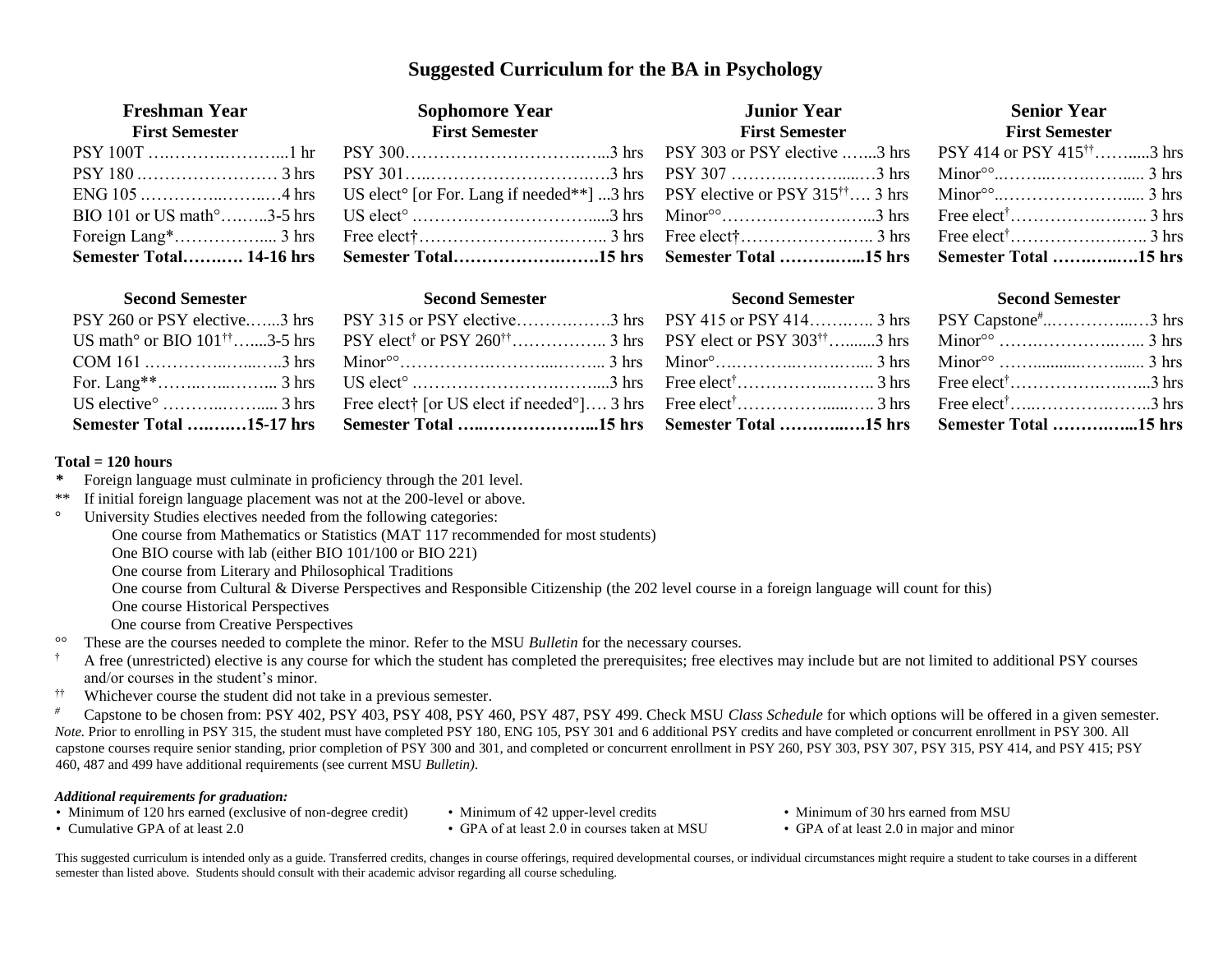## **Suggested Curriculum for the BA in Psychology**

| <b>Freshman Year</b><br><b>First Semester</b> | <b>Sophomore Year</b><br><b>First Semester</b> | <b>Junior Year</b><br><b>First Semester</b> | <b>Senior Year</b><br><b>First Semester</b> |
|-----------------------------------------------|------------------------------------------------|---------------------------------------------|---------------------------------------------|
|                                               |                                                |                                             |                                             |
|                                               |                                                |                                             |                                             |
|                                               |                                                |                                             |                                             |
|                                               |                                                |                                             |                                             |
|                                               |                                                |                                             |                                             |
|                                               |                                                |                                             |                                             |

| Semester Total 15-17 hrs Semester Total 15 hrs Semester Total 15 hrs Semester Total 15 hrs |  |
|--------------------------------------------------------------------------------------------|--|
|                                                                                            |  |
|                                                                                            |  |
|                                                                                            |  |
|                                                                                            |  |
|                                                                                            |  |
|                                                                                            |  |

### **Total = 120 hours**

- **\*** Foreign language must culminate in proficiency through the 201 level.
- \*\* If initial foreign language placement was not at the 200-level or above.
- ° University Studies electives needed from the following categories:
	- One course from Mathematics or Statistics (MAT 117 recommended for most students)
	- One BIO course with lab (either BIO 101/100 or BIO 221)
	- One course from Literary and Philosophical Traditions
	- One course from Cultural & Diverse Perspectives and Responsible Citizenship (the 202 level course in a foreign language will count for this)
	- One course Historical Perspectives
	- One course from Creative Perspectives
- These are the courses needed to complete the minor. Refer to the MSU *Bulletin* for the necessary courses.
- $\uparrow$  A free (unrestricted) elective is any course for which the student has completed the prerequisites; free electives may include but are not limited to additional PSY courses and/or courses in the student's minor.
- †† Whichever course the student did not take in a previous semester.
- *#* Capstone to be chosen from: PSY 402, PSY 403, PSY 408, PSY 460, PSY 487, PSY 499. Check MSU *Class Schedule* for which options will be offered in a given semester. *Note*. Prior to enrolling in PSY 315, the student must have completed PSY 180, ENG 105, PSY 301 and 6 additional PSY credits and have completed or concurrent enrollment in PSY 300. All capstone courses require senior standing, prior completion of PSY 300 and 301, and completed or concurrent enrollment in PSY 260, PSY 303, PSY 307, PSY 315, PSY 414, and PSY 415; PSY 460, 487 and 499 have additional requirements (see current MSU *Bulletin)*.

### *Additional requirements for graduation:*

- Minimum of 120 hrs earned (exclusive of non-degree credit) Minimum of 42 upper-level credits Minimum of 30 hrs earned from MSU
	-
- 
- Cumulative GPA of at least 2.0 GPA of at least 2.0 in courses taken at MSU GPA of at least 2.0 in major and minor

This suggested curriculum is intended only as a guide. Transferred credits, changes in course offerings, required developmental courses, or individual circumstances might require a student to take courses in a different semester than listed above. Students should consult with their academic advisor regarding all course scheduling.

## **Second Semester Second Semester Second Semester Second Semester**

| 15 hrs Semester Total |
|-----------------------|
|                       |
|                       |
|                       |
|                       |
|                       |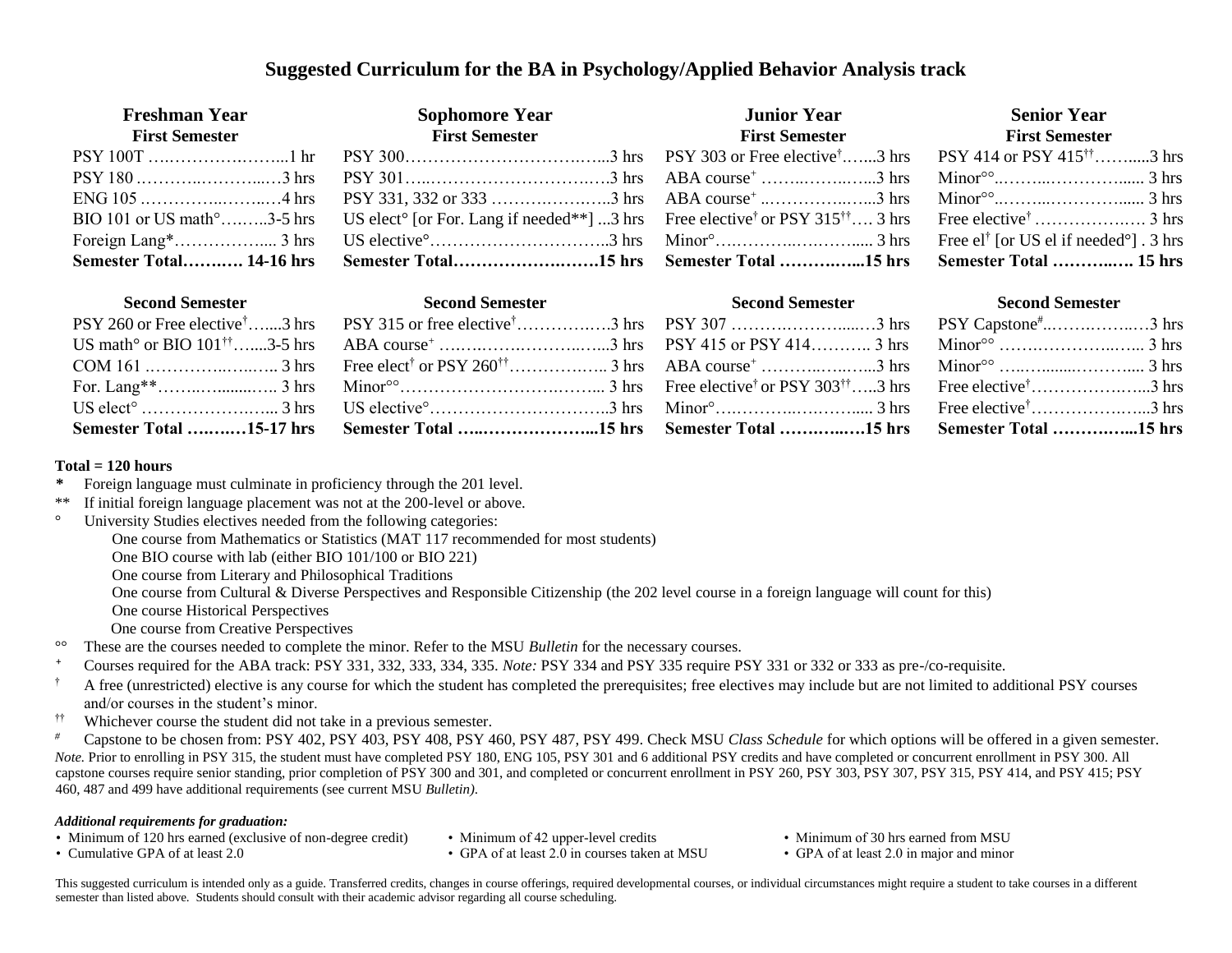## **Suggested Curriculum for the BA in Psychology/Applied Behavior Analysis track**

| <b>Freshman Year</b><br><b>First Semester</b> | <b>Sophomore Year</b><br><b>First Semester</b>                                              | <b>Junior Year</b><br><b>First Semester</b> | <b>Senior Year</b><br><b>First Semester</b> |
|-----------------------------------------------|---------------------------------------------------------------------------------------------|---------------------------------------------|---------------------------------------------|
|                                               |                                                                                             |                                             |                                             |
|                                               |                                                                                             |                                             |                                             |
|                                               |                                                                                             |                                             |                                             |
|                                               |                                                                                             |                                             |                                             |
|                                               |                                                                                             |                                             |                                             |
|                                               | Semester Total 14-16 hrs Semester Total15 hrs Semester Total  15 hrs Semester Total  15 hrs |                                             |                                             |

| Semester Total 15-17 hrs Semester Total 15 hrs                                          |  |
|-----------------------------------------------------------------------------------------|--|
|                                                                                         |  |
|                                                                                         |  |
|                                                                                         |  |
|                                                                                         |  |
| PSY 260 or Free elective <sup>†</sup> 3 hrs PSY 315 or free elective <sup>†</sup> 3 hrs |  |

| Semester Total 15 hrs                                     |  |
|-----------------------------------------------------------|--|
|                                                           |  |
| Free elective <sup>†</sup> or PSY 303 <sup>††</sup> 3 hrs |  |
| ABA course <sup><math>+</math></sup> 3 hrs                |  |
| PSY 415 or PSY 414 3 hrs                                  |  |
| PSY 307 3 hrs                                             |  |

## **Second Semester Second Semester Second Semester Second Semester**

| Free elective <sup>†</sup> 3 hrs |  |
|----------------------------------|--|
| Free elective <sup>†</sup> 3 hrs |  |
| Semester Total 15 hrs            |  |

## **Total = 120 hours**

- Foreign language must culminate in proficiency through the 201 level.
- \*\* If initial foreign language placement was not at the 200-level or above.
- ° University Studies electives needed from the following categories:
	- One course from Mathematics or Statistics (MAT 117 recommended for most students)
	- One BIO course with lab (either BIO 101/100 or BIO 221)
	- One course from Literary and Philosophical Traditions
	- One course from Cultural & Diverse Perspectives and Responsible Citizenship (the 202 level course in a foreign language will count for this)
	- One course Historical Perspectives
	- One course from Creative Perspectives
- <sup>oo</sup> These are the courses needed to complete the minor. Refer to the MSU *Bulletin* for the necessary courses.
- <sup>+</sup> Courses required for the ABA track: PSY 331, 332, 333, 334, 335. *Note:* PSY 334 and PSY 335 require PSY 331 or 332 or 333 as pre-/co-requisite.
- $\uparrow$  A free (unrestricted) elective is any course for which the student has completed the prerequisites; free electives may include but are not limited to additional PSY courses and/or courses in the student's minor.
- <sup>††</sup> Whichever course the student did not take in a previous semester.<br> $\frac{f}{f}$  Canstone to be chosen from: PSV 402, PSV 403, PSV 408, PSV 4

*#* Capstone to be chosen from: PSY 402, PSY 403, PSY 408, PSY 460, PSY 487, PSY 499. Check MSU *Class Schedule* for which options will be offered in a given semester. *Note*. Prior to enrolling in PSY 315, the student must have completed PSY 180, ENG 105, PSY 301 and 6 additional PSY credits and have completed or concurrent enrollment in PSY 300. All capstone courses require senior standing, prior completion of PSY 300 and 301, and completed or concurrent enrollment in PSY 260, PSY 303, PSY 307, PSY 315, PSY 414, and PSY 415; PSY 460, 487 and 499 have additional requirements (see current MSU *Bulletin)*.

## *Additional requirements for graduation:*

- Minimum of 120 hrs earned (exclusive of non-degree credit) Minimum of 42 upper-level credits Minimum of 30 hrs earned from MSU<br>• Cumulative GPA of at least 2.0 in maior and minor
- 
- 
- GPA of at least 2.0 in courses taken at MSU GPA of at least 2.0 in major and minor
- -

This suggested curriculum is intended only as a guide. Transferred credits, changes in course offerings, required developmental courses, or individual circumstances might require a student to take courses in a different semester than listed above. Students should consult with their academic advisor regarding all course scheduling.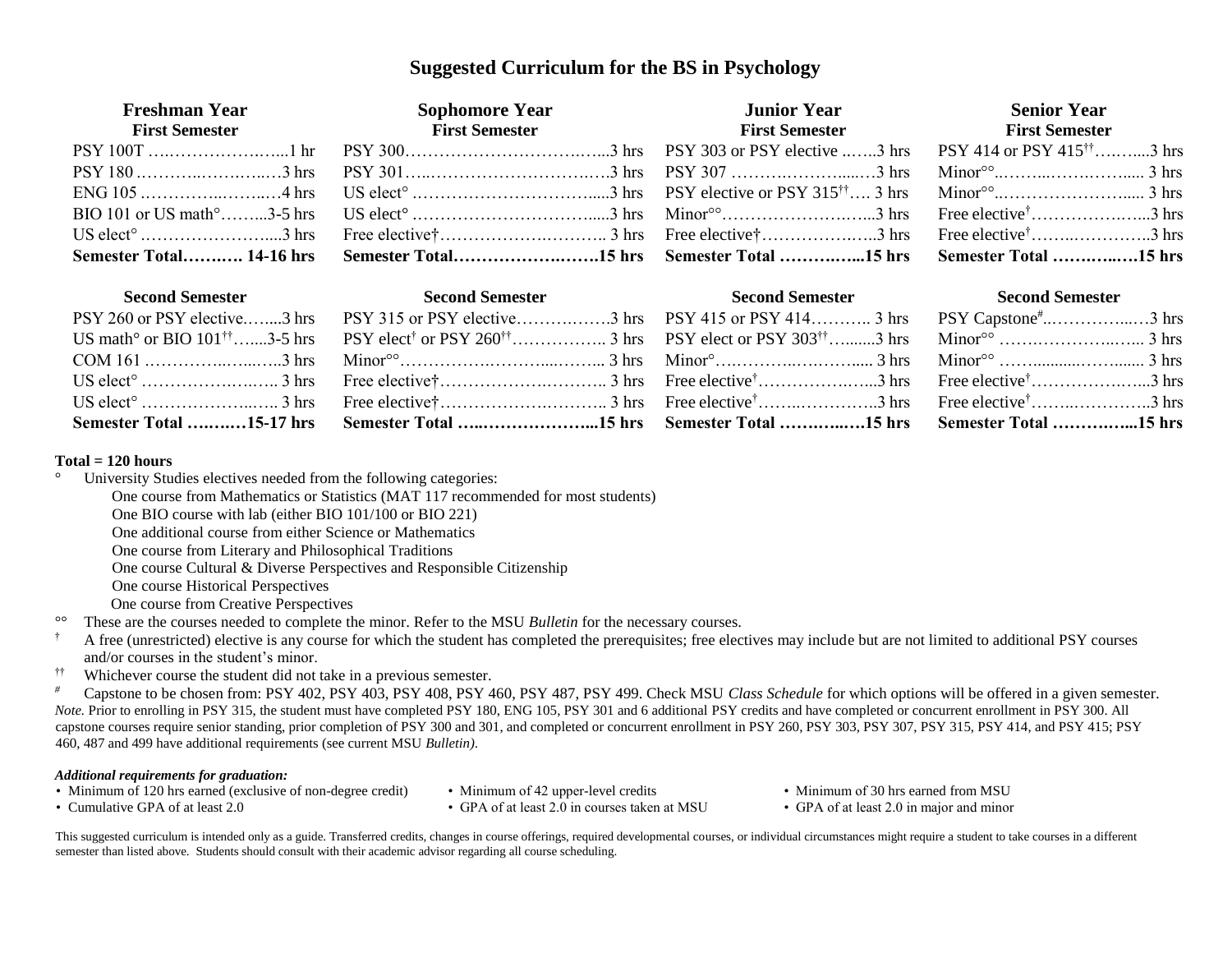## **Suggested Curriculum for the BS in Psychology**

| <b>Freshman Year</b><br><b>First Semester</b> | <b>Sophomore Year</b><br><b>First Semester</b> | <b>Junior Year</b><br><b>First Semester</b> | <b>Senior Year</b><br><b>First Semester</b> |
|-----------------------------------------------|------------------------------------------------|---------------------------------------------|---------------------------------------------|
|                                               |                                                |                                             |                                             |
|                                               |                                                |                                             |                                             |
|                                               |                                                |                                             |                                             |
|                                               |                                                |                                             |                                             |
|                                               |                                                |                                             |                                             |
|                                               |                                                |                                             |                                             |

# $R \text{ hrs} = \text{PSY } 414 \text{ or } \text{PSY } 415^{\dagger\dagger} \text{ .} \qquad R \text{hrs}$ PSY 180 .………..…….…..…3 hrs PSY 301…..……………………….….3 hrs PSY 307 ……….……….....…3 hrs Minor°°..……...…….……..... 3 hrs ENG 105 .…………..……..…4 hrs US elect° .………………………….....3 hrs PSY elective or PSY 315††…. 3 hrs Minor°°..…………………..... 3 hrs BIO 101 or US math°……...3-5 hrs US elect° .………………………….....3 hrs Minor°°………………….…...3 hrs Free elective†…………….…...3 hrs US elect° .…………………....3 hrs Free elective†……………….……….. 3 hrs Free elective†…………….…..3 hrs Free elective†……..…………..3 hrs **Semester Total…….…. 14-16 hrs Semester Total……………….…….15 hrs Semester Total ……….…...15 hrs Semester Total …….…..….15 hrs**

## **Second Semester Second Semester Second Semester Second Semester**

| Semester Total …………15-17 hrs  Semester Total ………………………15 hrs  Semester Total ………………15 hrs  Semester Total ………………15 hrs |  |
|------------------------------------------------------------------------------------------------------------------------|--|
|                                                                                                                        |  |
|                                                                                                                        |  |
|                                                                                                                        |  |
|                                                                                                                        |  |
|                                                                                                                        |  |

### **Total = 120 hours**

° University Studies electives needed from the following categories:

One course from Mathematics or Statistics (MAT 117 recommended for most students)

One BIO course with lab (either BIO 101/100 or BIO 221)

One additional course from either Science or Mathematics

One course from Literary and Philosophical Traditions

One course Cultural & Diverse Perspectives and Responsible Citizenship

One course Historical Perspectives

One course from Creative Perspectives

These are the courses needed to complete the minor. Refer to the MSU *Bulletin* for the necessary courses.

 $\uparrow$  A free (unrestricted) elective is any course for which the student has completed the prerequisites; free electives may include but are not limited to additional PSY courses and/or courses in the student's minor.

<sup>††</sup> Whichever course the student did not take in a previous semester.<br>  $\frac{f}{f}$  Canstone to be chosen from: PSV 402, PSV 403, PSV 408, PSV 4

*#* Capstone to be chosen from: PSY 402, PSY 403, PSY 408, PSY 460, PSY 487, PSY 499. Check MSU *Class Schedule* for which options will be offered in a given semester. *Note*. Prior to enrolling in PSY 315, the student must have completed PSY 180, ENG 105, PSY 301 and 6 additional PSY credits and have completed or concurrent enrollment in PSY 300. All capstone courses require senior standing, prior completion of PSY 300 and 301, and completed or concurrent enrollment in PSY 260, PSY 303, PSY 307, PSY 315, PSY 414, and PSY 415; PSY 460, 487 and 499 have additional requirements (see current MSU *Bulletin)*.

### *Additional requirements for graduation:*

- Minimum of 120 hrs earned (exclusive of non-degree credit) Minimum of 42 upper-level credits Minimum of 30 hrs earned from MSU
- Cumulative GPA of at least 2.0 GPA of at least 2.0 in courses taken at MSU GPA of at least 2.0 in major and minor
- -
- 
- 

This suggested curriculum is intended only as a guide. Transferred credits, changes in course offerings, required developmental courses, or individual circumstances might require a student to take courses in a different semester than listed above. Students should consult with their academic advisor regarding all course scheduling.